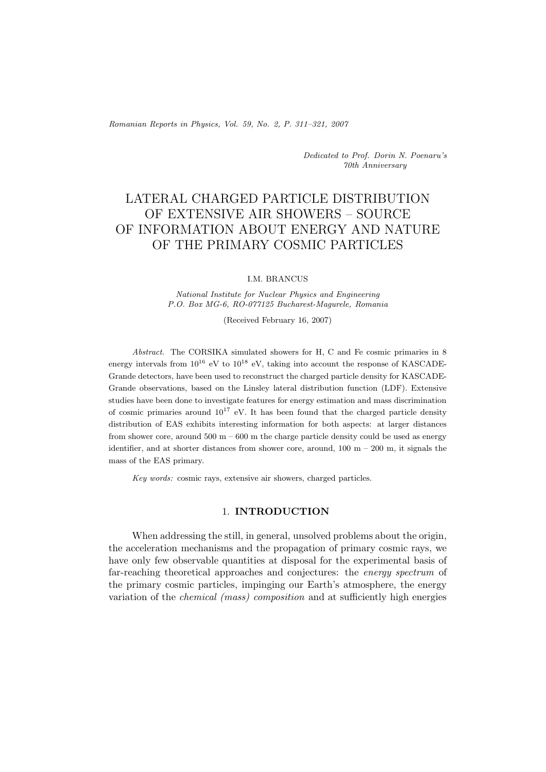*Romanian Reports in Physics, Vol. 59, No. 2, P. 311–321, 2007*

*Dedicated to Prof. Dorin N. Poenaru's 70th Anniversary*

# LATERAL CHARGED PARTICLE DISTRIBUTION OF EXTENSIVE AIR SHOWERS – SOURCE OF INFORMATION ABOUT ENERGY AND NATURE OF THE PRIMARY COSMIC PARTICLES

#### I.M. BRANCUS

*National Institute for Nuclear Physics and Engineering P.O. Box MG-6, RO-077125 Bucharest-Magurele, Romania*

(Received February 16, 2007)

*Abstract.* The CORSIKA simulated showers for H, C and Fe cosmic primaries in 8 energy intervals from  $10^{16}$  eV to  $10^{18}$  eV, taking into account the response of KASCADE-Grande detectors, have been used to reconstruct the charged particle density for KASCADE-Grande observations, based on the Linsley lateral distribution function (LDF). Extensive studies have been done to investigate features for energy estimation and mass discrimination of cosmic primaries around  $10^{17}$  eV. It has been found that the charged particle density distribution of EAS exhibits interesting information for both aspects: at larger distances from shower core, around  $500 \text{ m} - 600 \text{ m}$  the charge particle density could be used as energy identifier, and at shorter distances from shower core, around,  $100 \text{ m} - 200 \text{ m}$ , it signals the mass of the EAS primary.

*Key words:* cosmic rays, extensive air showers, charged particles.

#### 1. **INTRODUCTION**

When addressing the still, in general, unsolved problems about the origin, the acceleration mechanisms and the propagation of primary cosmic rays, we have only few observable quantities at disposal for the experimental basis of far-reaching theoretical approaches and conjectures: the *energy spectrum* of the primary cosmic particles, impinging our Earth's atmosphere, the energy variation of the *chemical (mass) composition* and at sufficiently high energies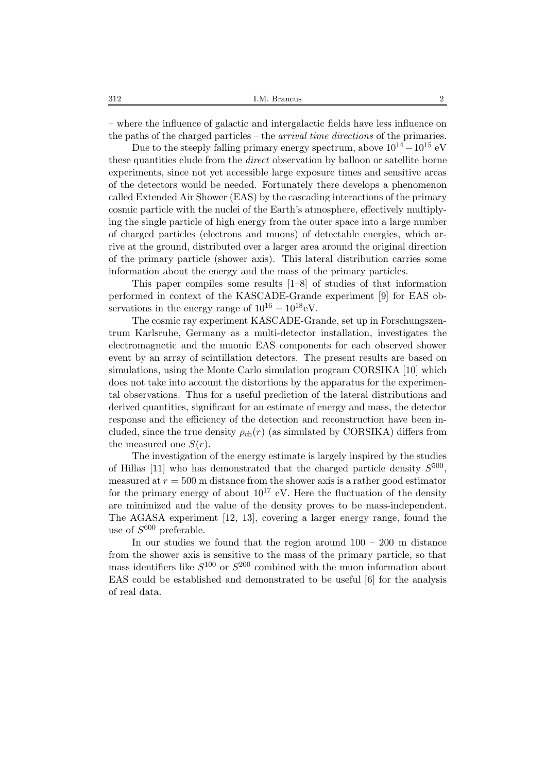– where the influence of galactic and intergalactic fields have less influence on the paths of the charged particles – the *arrival time directions* of the primaries.

Due to the steeply falling primary energy spectrum, above  $10^{14} - 10^{15}$  eV these quantities elude from the *direct* observation by balloon or satellite borne experiments, since not yet accessible large exposure times and sensitive areas of the detectors would be needed. Fortunately there develops a phenomenon called Extended Air Shower (EAS) by the cascading interactions of the primary cosmic particle with the nuclei of the Earth's atmosphere, effectively multiplying the single particle of high energy from the outer space into a large number of charged particles (electrons and muons) of detectable energies, which arrive at the ground, distributed over a larger area around the original direction of the primary particle (shower axis). This lateral distribution carries some information about the energy and the mass of the primary particles.

This paper compiles some results [1–8] of studies of that information performed in context of the KASCADE-Grande experiment [9] for EAS observations in the energy range of  $10^{16} - 10^{18}$ eV.

The cosmic ray experiment KASCADE-Grande, set up in Forschungszentrum Karlsruhe, Germany as a multi-detector installation, investigates the electromagnetic and the muonic EAS components for each observed shower event by an array of scintillation detectors. The present results are based on simulations, using the Monte Carlo simulation program CORSIKA [10] which does not take into account the distortions by the apparatus for the experimental observations. Thus for a useful prediction of the lateral distributions and derived quantities, significant for an estimate of energy and mass, the detector response and the efficiency of the detection and reconstruction have been included, since the true density  $\rho_{ch}(r)$  (as simulated by CORSIKA) differs from the measured one  $S(r)$ .

The investigation of the energy estimate is largely inspired by the studies of Hillas [11] who has demonstrated that the charged particle density  $S^{500}$ , measured at  $r = 500$  m distance from the shower axis is a rather good estimator for the primary energy of about  $10^{17}$  eV. Here the fluctuation of the density are minimized and the value of the density proves to be mass-independent. The AGASA experiment [12, 13], covering a larger energy range, found the use of  $S^{600}$  preferable.

In our studies we found that the region around  $100 - 200$  m distance from the shower axis is sensitive to the mass of the primary particle, so that mass identifiers like  $S^{100}$  or  $S^{200}$  combined with the muon information about EAS could be established and demonstrated to be useful [6] for the analysis of real data.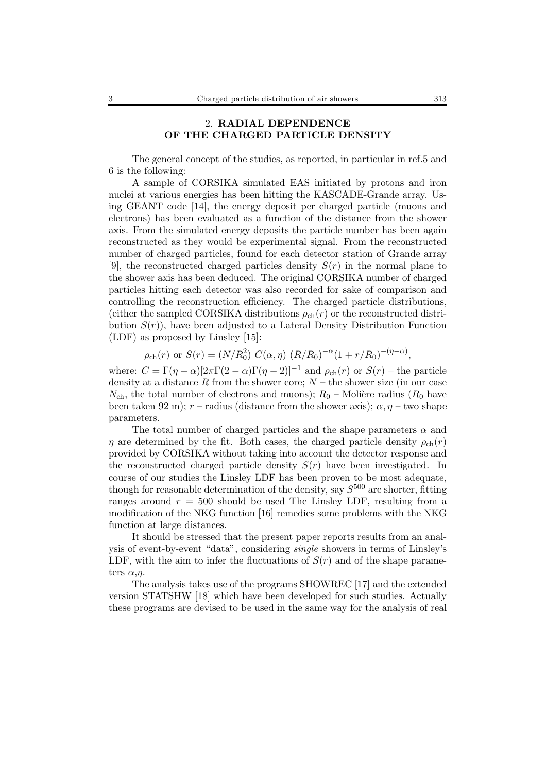# 2. **RADIAL DEPENDENCE OF THE CHARGED PARTICLE DENSITY**

The general concept of the studies, as reported, in particular in ref.5 and 6 is the following:

A sample of CORSIKA simulated EAS initiated by protons and iron nuclei at various energies has been hitting the KASCADE-Grande array. Using GEANT code [14], the energy deposit per charged particle (muons and electrons) has been evaluated as a function of the distance from the shower axis. From the simulated energy deposits the particle number has been again reconstructed as they would be experimental signal. From the reconstructed number of charged particles, found for each detector station of Grande array [9], the reconstructed charged particles density  $S(r)$  in the normal plane to the shower axis has been deduced. The original CORSIKA number of charged particles hitting each detector was also recorded for sake of comparison and controlling the reconstruction efficiency. The charged particle distributions, (either the sampled CORSIKA distributions  $\rho_{ch}(r)$  or the reconstructed distribution  $S(r)$ , have been adjusted to a Lateral Density Distribution Function (LDF) as proposed by Linsley [15]:

$$
\rho_{\rm ch}(r)
$$
 or  $S(r) = (N/R_0^2) C(\alpha, \eta) (R/R_0)^{-\alpha} (1 + r/R_0)^{-(\eta - \alpha)},$ 

where:  $C = \Gamma(\eta - \alpha)[2\pi\Gamma(2 - \alpha)\Gamma(\eta - 2)]^{-1}$  and  $\rho_{ch}(r)$  or  $S(r)$  – the particle density at a distance R from the shower core;  $N -$  the shower size (in our case  $N_{\text{ch}}$ , the total number of electrons and muons);  $R_0$  – Molière radius ( $R_0$  have been taken 92 m);  $r$  – radius (distance from the shower axis);  $\alpha$ ,  $\eta$  – two shape parameters.

The total number of charged particles and the shape parameters  $\alpha$  and  $\eta$  are determined by the fit. Both cases, the charged particle density  $\rho_{ch}(r)$ provided by CORSIKA without taking into account the detector response and the reconstructed charged particle density  $S(r)$  have been investigated. In course of our studies the Linsley LDF has been proven to be most adequate, though for reasonable determination of the density, say  $S^{500}$  are shorter, fitting ranges around  $r = 500$  should be used The Linsley LDF, resulting from a modification of the NKG function [16] remedies some problems with the NKG function at large distances.

It should be stressed that the present paper reports results from an analysis of event-by-event "data", considering *single* showers in terms of Linsley's LDF, with the aim to infer the fluctuations of  $S(r)$  and of the shape parameters  $\alpha$ ,*η*.

The analysis takes use of the programs SHOWREC [17] and the extended version STATSHW [18] which have been developed for such studies. Actually these programs are devised to be used in the same way for the analysis of real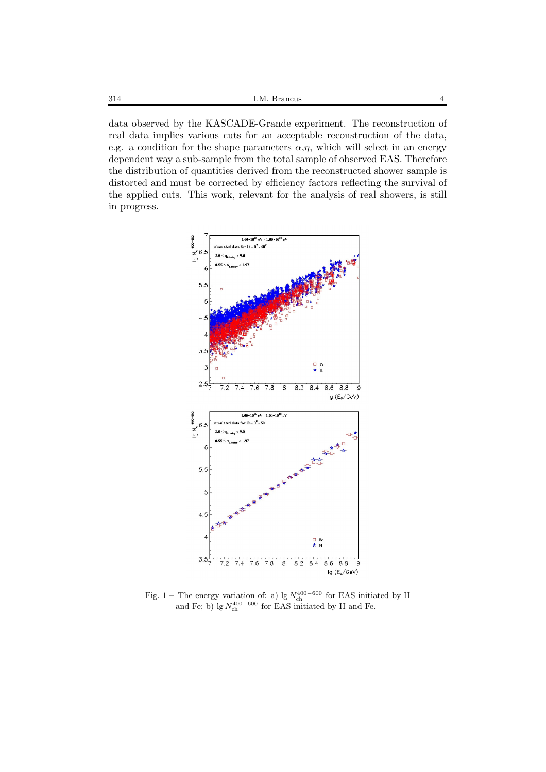data observed by the KASCADE-Grande experiment. The reconstruction of real data implies various cuts for an acceptable reconstruction of the data, e.g. a condition for the shape parameters  $\alpha$ , $\eta$ , which will select in an energy dependent way a sub-sample from the total sample of observed EAS. Therefore the distribution of quantities derived from the reconstructed shower sample is distorted and must be corrected by efficiency factors reflecting the survival of the applied cuts. This work, relevant for the analysis of real showers, is still in progress.



Fig. 1 – The energy variation of: a) lg  $N_{ch}^{400-600}$  for EAS initiated by H and Fe; b)  $\lg N_{\text{ch}}^{400-600}$  for EAS initiated by H and Fe.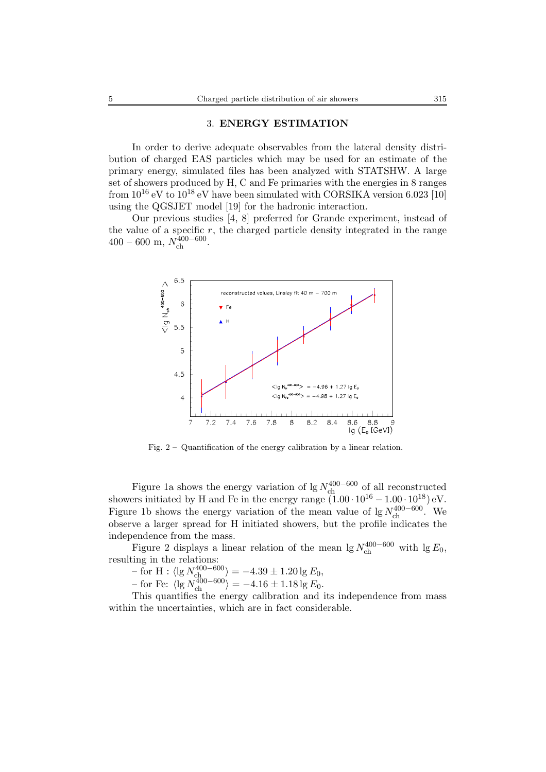#### 3. **ENERGY ESTIMATION**

In order to derive adequate observables from the lateral density distribution of charged EAS particles which may be used for an estimate of the primary energy, simulated files has been analyzed with STATSHW. A large set of showers produced by H, C and Fe primaries with the energies in 8 ranges from  $10^{16}$  eV to  $10^{18}$  eV have been simulated with CORSIKA version 6.023 [10] using the QGSJET model [19] for the hadronic interaction.

Our previous studies [4, 8] preferred for Grande experiment, instead of the value of a specific  $r$ , the charged particle density integrated in the range 400 – 600 m, N400*−*<sup>600</sup> ch .



Fig. 2 – Quantification of the energy calibration by a linear relation.

Figure 1a shows the energy variation of lg  $N_{ch}^{400-600}$  of all reconstructed showers initiated by H and Fe in the energy range  $(1.00 \cdot 10^{16} - 1.00 \cdot 10^{18})$  eV. Figure 1b shows the energy variation of the mean value of lg  $N_{ch}^{400-600}$ . We observe a larger spread for H initiated showers, but the profile indicates the independence from the mass.

Figure 2 displays a linear relation of the mean  $\lg N_{\text{ch}}^{400-600}$  with  $\lg E_0$ , resulting in the relations:

 $-$  for H :  $\langle \lg N_{\text{ch}}^{400-600} \rangle = -4.39 \pm 1.20 \lg E_0,$ 

 $-$  for Fe:  $\langle \lg N_{\text{ch}}^{400-600} \rangle = -4.16 \pm 1.18 \lg E_0.$ 

This quantifies the energy calibration and its independence from mass within the uncertainties, which are in fact considerable.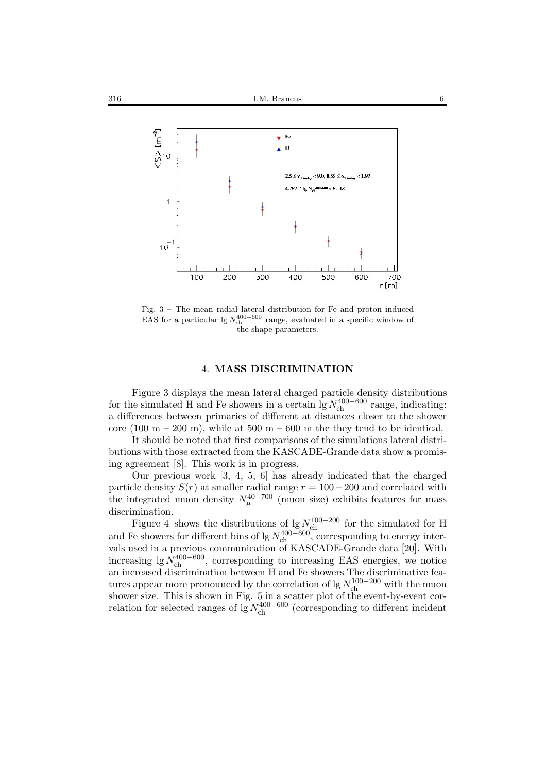

Fig. 3 – The mean radial lateral distribution for Fe and proton induced EAS for a particular  $\lg N_{\text{ch}}^{400-600}$  range, evaluated in a specific window of the shape parameters.

### 4. **MASS DISCRIMINATION**

Figure 3 displays the mean lateral charged particle density distributions for the simulated H and Fe showers in a certain  $\lg N_{\text{ch}}^{400-600}$  range, indicating: a differences between primaries of different at distances closer to the shower core (100 m – 200 m), while at 500 m – 600 m the they tend to be identical.

It should be noted that first comparisons of the simulations lateral distributions with those extracted from the KASCADE-Grande data show a promising agreement [8]. This work is in progress.

Our previous work [3, 4, 5, 6] has already indicated that the charged particle density  $S(r)$  at smaller radial range  $r = 100-200$  and correlated with the integrated muon density  $N_{\mu}^{40-700}$  (muon size) exhibits features for mass discrimination.

Figure 4 shows the distributions of lg  $N_{\rm ch}^{100-200}$  for the simulated for H and Fe showers for different bins of lg  $N_{ch}^{400-600}$ , corresponding to energy intervals used in a previous communication of KASCADE-Grande data [20]. With increasing  $\lg N_{ch}^{400-600}$ , corresponding to increasing EAS energies, we notice an increased discrimination between H and Fe showers The discriminative features appear more pronounced by the correlation of lg  $N_{ch}^{100-200}$  with the muon shower size. This is shown in Fig. 5 in a scatter plot of the event-by-event correlation for selected ranges of lg  $N_{ch}^{400-600}$  (corresponding to different incident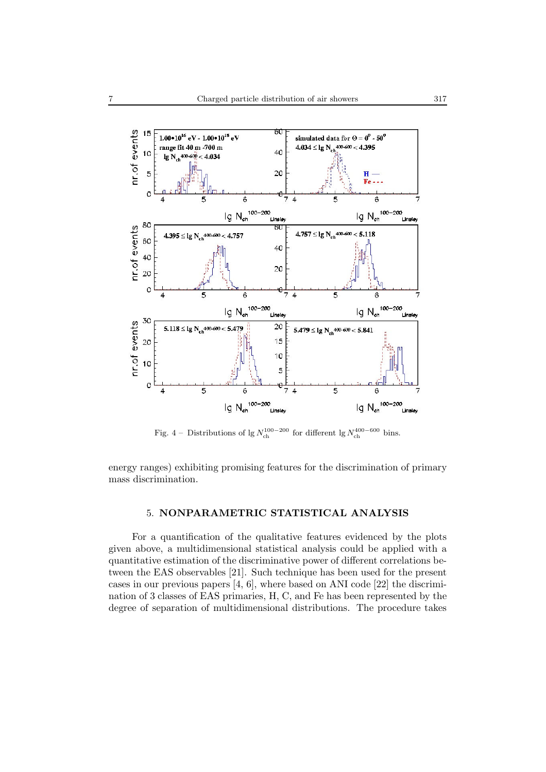

Fig. 4 – Distributions of lg  $N_{\text{ch}}^{100-200}$  for different lg  $N_{\text{ch}}^{400-600}$  bins.

energy ranges) exhibiting promising features for the discrimination of primary mass discrimination.

## 5. **NONPARAMETRIC STATISTICAL ANALYSIS**

For a quantification of the qualitative features evidenced by the plots given above, a multidimensional statistical analysis could be applied with a quantitative estimation of the discriminative power of different correlations between the EAS observables [21]. Such technique has been used for the present cases in our previous papers [4, 6], where based on ANI code [22] the discrimination of 3 classes of EAS primaries, H, C, and Fe has been represented by the degree of separation of multidimensional distributions. The procedure takes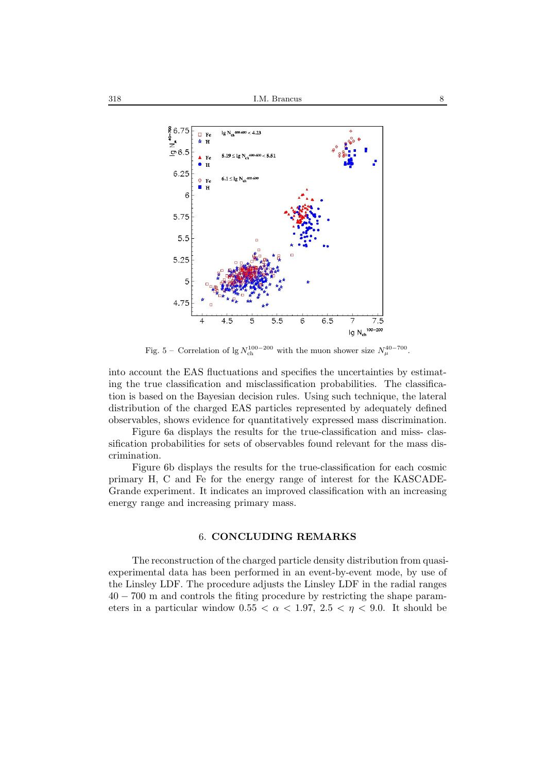

Fig. 5 – Correlation of lg  $N_{ch}^{100-200}$  with the muon shower size  $N_{\mu}^{40-700}$ .

into account the EAS fluctuations and specifies the uncertainties by estimating the true classification and misclassification probabilities. The classification is based on the Bayesian decision rules. Using such technique, the lateral distribution of the charged EAS particles represented by adequately defined observables, shows evidence for quantitatively expressed mass discrimination.

Figure 6a displays the results for the true-classification and miss- classification probabilities for sets of observables found relevant for the mass discrimination.

Figure 6b displays the results for the true-classification for each cosmic primary H, C and Fe for the energy range of interest for the KASCADE-Grande experiment. It indicates an improved classification with an increasing energy range and increasing primary mass.

### 6. **CONCLUDING REMARKS**

The reconstruction of the charged particle density distribution from quasiexperimental data has been performed in an event-by-event mode, by use of the Linsley LDF. The procedure adjusts the Linsley LDF in the radial ranges 40 − 700 m and controls the fiting procedure by restricting the shape parameters in a particular window  $0.55 < \alpha < 1.97$ ,  $2.5 < \eta < 9.0$ . It should be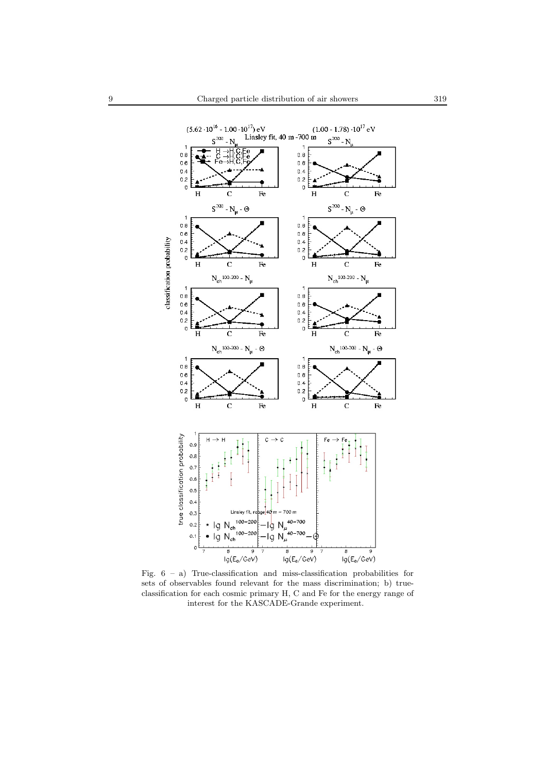

Fig.  $6 - a$ ) True-classification and miss-classification probabilities for sets of observables found relevant for the mass discrimination; b) trueclassification for each cosmic primary H, C and Fe for the energy range of interest for the KASCADE-Grande experiment.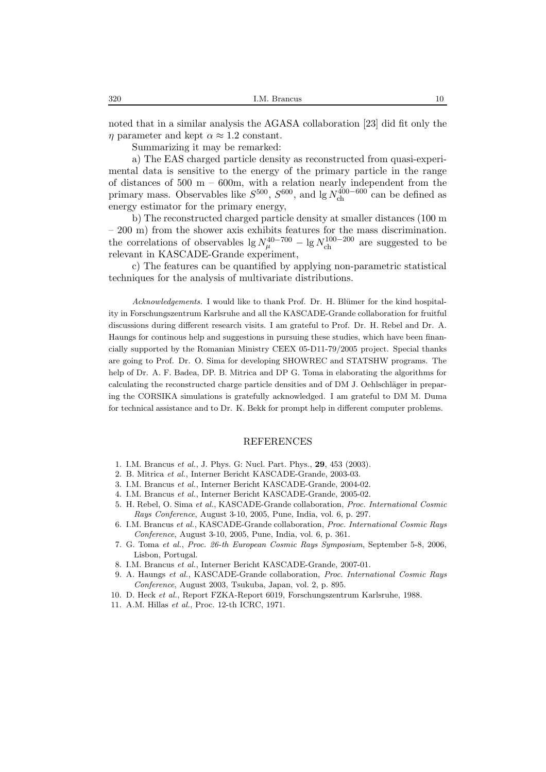noted that in a similar analysis the AGASA collaboration [23] did fit only the  $\eta$  parameter and kept  $\alpha \approx 1.2$  constant.

Summarizing it may be remarked:

a) The EAS charged particle density as reconstructed from quasi-experimental data is sensitive to the energy of the primary particle in the range of distances of  $500 \text{ m} - 600 \text{m}$ , with a relation nearly independent from the primary mass. Observables like  $S^{500}$ ,  $S^{600}$ , and lg  $N_{\text{ch}}^{400-600}$  can be defined as energy estimator for the primary energy,

b) The reconstructed charged particle density at smaller distances (100 m – 200 m) from the shower axis exhibits features for the mass discrimination. the correlations of observables lg  $N_{\mu}^{40-700} - \lg N_{ch}^{100-200}$  are suggested to be relevant in KASCADE-Grande experiment,

c) The features can be quantified by applying non-parametric statistical techniques for the analysis of multivariate distributions.

*Acknowledgements.* I would like to thank Prof. Dr. H. Blümer for the kind hospitality in Forschungszentrum Karlsruhe and all the KASCADE-Grande collaboration for fruitful discussions during different research visits. I am grateful to Prof. Dr. H. Rebel and Dr. A. Haungs for continous help and suggestions in pursuing these studies, which have been financially supported by the Romanian Ministry CEEX 05-D11-79/2005 project. Special thanks are going to Prof. Dr. O. Sima for developing SHOWREC and STATSHW programs. The help of Dr. A. F. Badea, DP. B. Mitrica and DP G. Toma in elaborating the algorithms for calculating the reconstructed charge particle densities and of DM J. Oehlschläger in preparing the CORSIKA simulations is gratefully acknowledged. I am grateful to DM M. Duma for technical assistance and to Dr. K. Bekk for prompt help in different computer problems.

#### REFERENCES

- 1. I.M. Brancus *et al.*, J. Phys. G: Nucl. Part. Phys., **29**, 453 (2003).
- 2. B. Mitrica *et al.*, Interner Bericht KASCADE-Grande, 2003-03.
- 3. I.M. Brancus *et al.*, Interner Bericht KASCADE-Grande, 2004-02.
- 4. I.M. Brancus *et al.*, Interner Bericht KASCADE-Grande, 2005-02.
- 5. H. Rebel, O. Sima *et al.*, KASCADE-Grande collaboration, *Proc. International Cosmic Rays Conference*, August 3-10, 2005, Pune, India, vol. 6, p. 297.
- 6. I.M. Brancus *et al.*, KASCADE-Grande collaboration, *Proc. International Cosmic Rays Conference*, August 3-10, 2005, Pune, India, vol. 6, p. 361.
- 7. G. Toma *et al.*, *Proc. 26-th European Cosmic Rays Symposium*, September 5-8, 2006, Lisbon, Portugal.
- 8. I.M. Brancus *et al.*, Interner Bericht KASCADE-Grande, 2007-01.
- 9. A. Haungs *et al.*, KASCADE-Grande collaboration, *Proc. International Cosmic Rays Conference*, August 2003, Tsukuba, Japan, vol. 2, p. 895.
- 10. D. Heck *et al.*, Report FZKA-Report 6019, Forschungszentrum Karlsruhe, 1988.
- 11. A.M. Hillas *et al.*, Proc. 12-th ICRC, 1971.